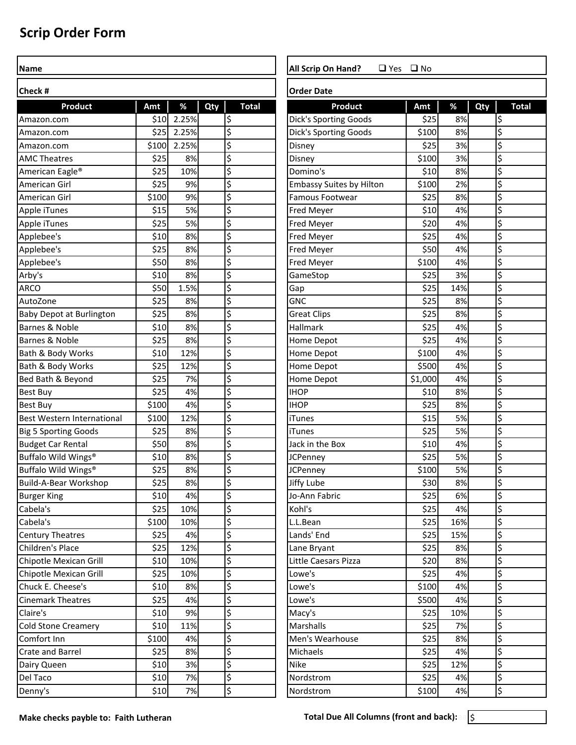## **Scrip Order Form**

| Name                              |       | $\Box$ Yes $\Box$ No<br>All Scrip On Hand? |                     |                                 |         |     |     |                        |  |
|-----------------------------------|-------|--------------------------------------------|---------------------|---------------------------------|---------|-----|-----|------------------------|--|
| Check #                           |       |                                            |                     | <b>Order Date</b>               |         |     |     |                        |  |
| <b>Product</b>                    | Amt   | $\%$                                       | Qty<br><b>Total</b> | <b>Product</b>                  | Amt     | %   | Qty | <b>Total</b>           |  |
| Amazon.com                        | \$10  | 2.25%                                      | $\ddot{\varsigma}$  | Dick's Sporting Goods           | \$25    | 8%  |     | l\$                    |  |
| Amazon.com                        | \$25  | 2.25%                                      | \$                  | Dick's Sporting Goods           | \$100   | 8%  |     | \$                     |  |
| Amazon.com                        | \$100 | 2.25%                                      | \$                  | Disney                          | \$25    | 3%  |     | \$                     |  |
| <b>AMC Theatres</b>               | \$25  | 8%                                         | \$                  | Disney                          | \$100   | 3%  |     | .\$                    |  |
| American Eagle®                   | \$25  | 10%                                        | \$                  | Domino's                        | \$10    | 8%  |     | \$                     |  |
| American Girl                     | \$25  | 9%                                         | \$                  | <b>Embassy Suites by Hilton</b> | \$100   | 2%  |     | \$                     |  |
| American Girl                     | \$100 | 9%                                         | \$                  | <b>Famous Footwear</b>          | \$25    | 8%  |     | \$                     |  |
| Apple iTunes                      | \$15  | 5%                                         | \$                  | <b>Fred Meyer</b>               | \$10    | 4%  |     | \$                     |  |
| Apple iTunes                      | \$25  | 5%                                         | \$                  | Fred Meyer                      | \$20    | 4%  |     | \$                     |  |
| Applebee's                        | \$10  | 8%                                         | \$                  | Fred Meyer                      | \$25    | 4%  |     | \$                     |  |
| Applebee's                        | \$25  | 8%                                         | \$                  | <b>Fred Meyer</b>               | \$50    | 4%  |     | $\frac{1}{2}$          |  |
| Applebee's                        | \$50  | 8%                                         | \$                  | Fred Meyer                      | \$100   | 4%  |     | \$                     |  |
| Arby's                            | \$10  | 8%                                         | \$                  | GameStop                        | \$25    | 3%  |     | \$                     |  |
| <b>ARCO</b>                       | \$50  | 1.5%                                       | \$                  | Gap                             | \$25    | 14% |     | $\varsigma$            |  |
| AutoZone                          | \$25  | 8%                                         | \$                  | <b>GNC</b>                      | \$25    | 8%  |     | \$                     |  |
| <b>Baby Depot at Burlington</b>   | \$25  | 8%                                         | \$                  | <b>Great Clips</b>              | \$25    | 8%  |     | \$                     |  |
| Barnes & Noble                    | \$10  | 8%                                         | \$                  | Hallmark                        | \$25    | 4%  |     | \$                     |  |
| Barnes & Noble                    | \$25  | 8%                                         | \$                  | Home Depot                      | \$25    | 4%  |     | \$                     |  |
| Bath & Body Works                 | \$10  | 12%                                        | \$                  | Home Depot                      | \$100   | 4%  |     | \$                     |  |
| Bath & Body Works                 | \$25  | 12%                                        | \$                  | Home Depot                      | \$500   | 4%  |     | \$                     |  |
| Bed Bath & Beyond                 | \$25  | 7%                                         | \$                  | <b>Home Depot</b>               | \$1,000 | 4%  |     | $\frac{1}{2}$          |  |
| Best Buy                          | \$25  | 4%                                         | \$                  | <b>IHOP</b>                     | \$10    | 8%  |     | \$                     |  |
| <b>Best Buy</b>                   | \$100 | 4%                                         | \$                  | <b>IHOP</b>                     | \$25    | 8%  |     | \$                     |  |
| <b>Best Western International</b> | \$100 | 12%                                        | \$                  | iTunes                          | \$15    | 5%  |     | .\$                    |  |
| <b>Big 5 Sporting Goods</b>       | \$25  | 8%                                         | \$                  | iTunes                          | \$25    | 5%  |     | \$                     |  |
| <b>Budget Car Rental</b>          | \$50  | 8%                                         | \$                  | Jack in the Box                 | \$10    | 4%  |     | \$                     |  |
| Buffalo Wild Wings®               | \$10  | 8%                                         | \$                  | <b>JCPenney</b>                 | \$25    | 5%  |     | \$                     |  |
| Buffalo Wild Wings®               | \$25  | 8%                                         | \$                  | JCPenney                        | \$100   | 5%  |     | \$                     |  |
| Build-A-Bear Workshop             | \$25  | 8%                                         | ¦\$                 | Jiffy Lube                      | \$30    | 8%  |     | ļ\$                    |  |
| <b>Burger King</b>                | \$10  | 4%                                         | \$                  | Jo-Ann Fabric                   | \$25    | 6%  |     | \$                     |  |
| Cabela's                          | \$25  | 10%                                        | \$                  | Kohl's                          | \$25    | 4%  |     | \$                     |  |
| Cabela's                          | \$100 | 10%                                        | \$                  | L.L.Bean                        | \$25    | 16% |     | \$                     |  |
| <b>Century Theatres</b>           | \$25  | 4%                                         | \$                  | Lands' End                      | \$25    | 15% |     | \$                     |  |
| Children's Place                  | \$25  | 12%                                        | \$                  | Lane Bryant                     | \$25    | 8%  |     | $\varsigma$            |  |
| Chipotle Mexican Grill            | \$10  | 10%                                        | \$                  | Little Caesars Pizza            | \$20    | 8%  |     | \$                     |  |
| Chipotle Mexican Grill            | \$25  | 10%                                        | \$                  | Lowe's                          | \$25    | 4%  |     | \$                     |  |
| Chuck E. Cheese's                 | \$10  | 8%                                         | \$                  | Lowe's                          | \$100   | 4%  |     | \$                     |  |
| <b>Cinemark Theatres</b>          | \$25  | 4%                                         | \$                  | Lowe's                          | \$500   | 4%  |     | \$                     |  |
| Claire's                          | \$10  | 9%                                         | \$                  | Macy's                          | \$25    | 10% |     | \$                     |  |
| <b>Cold Stone Creamery</b>        | \$10  | 11%                                        | \$                  | <b>Marshalls</b>                | \$25    | 7%  |     | \$                     |  |
| Comfort Inn                       | \$100 | 4%                                         | \$                  | Men's Wearhouse                 | \$25    | 8%  |     | $\overline{\varsigma}$ |  |
| Crate and Barrel                  | \$25  | 8%                                         | \$                  | Michaels                        | \$25    | 4%  |     | \$                     |  |
| Dairy Queen                       | \$10  | 3%                                         | \$                  | Nike                            | \$25    | 12% |     | \$                     |  |
| Del Taco                          | \$10  | 7%                                         | \$                  | Nordstrom                       | \$25    | 4%  |     | ¢۶                     |  |
| Denny's                           | \$10  | 7%                                         | \$                  | Nordstrom                       | \$100   | 4%  |     | \$                     |  |
|                                   |       |                                            |                     |                                 |         |     |     |                        |  |

| All Scrip On Hand?<br>$\Box$ Yes | □ No    |     |     |                  |
|----------------------------------|---------|-----|-----|------------------|
| <b>Order Date</b>                |         |     |     |                  |
| Product                          | Amt     | %   | Qty | <b>Total</b>     |
| Dick's Sporting Goods            | \$25    | 8%  |     | \$               |
| Dick's Sporting Goods            | \$100   | 8%  |     | \$               |
| Disney                           | \$25    | 3%  |     | \$               |
| Disney                           | \$100   | 3%  |     | \$               |
| Domino's                         | \$10    | 8%  |     | \$               |
| <b>Embassy Suites by Hilton</b>  | \$100   | 2%  |     | \$               |
| Famous Footwear                  | \$25    | 8%  |     | \$               |
| Fred Meyer                       | \$10    | 4%  |     | \$               |
| Fred Meyer                       | \$20    | 4%  |     | \$               |
| Fred Meyer                       | \$25    | 4%  |     | \$               |
| Fred Meyer                       | \$50    | 4%  |     | \$               |
| Fred Meyer                       | \$100   | 4%  |     | \$               |
| GameStop                         | \$25    | 3%  |     | \$               |
| Gap                              | \$25    | 14% |     | \$               |
| GNC                              | \$25    | 8%  |     | \$               |
| <b>Great Clips</b>               | \$25    | 8%  |     | \$               |
| Hallmark                         | \$25    | 4%  |     | \$               |
| Home Depot                       | \$25    | 4%  |     | \$               |
| Home Depot                       | \$100   | 4%  |     | \$               |
| Home Depot                       | \$500   | 4%  |     | \$               |
| Home Depot                       | \$1,000 | 4%  |     | \$               |
| IHOP                             | \$10    | 8%  |     | \$               |
| <b>IHOP</b>                      | \$25    | 8%  |     | \$               |
| iTunes                           | \$15    | 5%  |     | \$               |
| iTunes                           | \$25    | 5%  |     | \$               |
| Jack in the Box                  | \$10    | 4%  |     | \$               |
| <b>JCPenney</b>                  | \$25    | 5%  |     | \$               |
| <b>JCPenney</b>                  | \$100   | 5%  |     | \$               |
| Jiffy Lube                       | \$30    | 8%  |     | $\overline{\xi}$ |
| Jo-Ann Fabric                    | \$25    | 6%  |     | \$               |
| Kohl's                           | \$25    | 4%  |     |                  |
| L.L.Bean                         | \$25    | 16% |     | $rac{5}{5}$      |
| Lands' End                       | \$25    | 15% |     | \$               |
| Lane Bryant                      | \$25    | 8%  |     | \$               |
| Little Caesars Pizza             | \$20    | 8%  |     | \$               |
| Lowe's                           | \$25    | 4%  |     | $\frac{1}{2}$    |
| Lowe's                           | \$100   | 4%  |     | \$               |
| Lowe's                           | \$500   | 4%  |     | \$               |
| Macy's                           | \$25    | 10% |     | \$               |
| Marshalls                        | \$25    | 7%  |     | \$               |
| Men's Wearhouse                  | \$25    | 8%  |     |                  |
| Michaels                         | \$25    | 4%  |     | $rac{5}{5}$      |
| Nike                             | \$25    | 12% |     | \$               |
| Nordstrom                        | \$25    | 4%  |     | \$               |
|                                  |         | 4%  |     | \$               |
| Nordstrom                        | \$100   |     |     |                  |

I